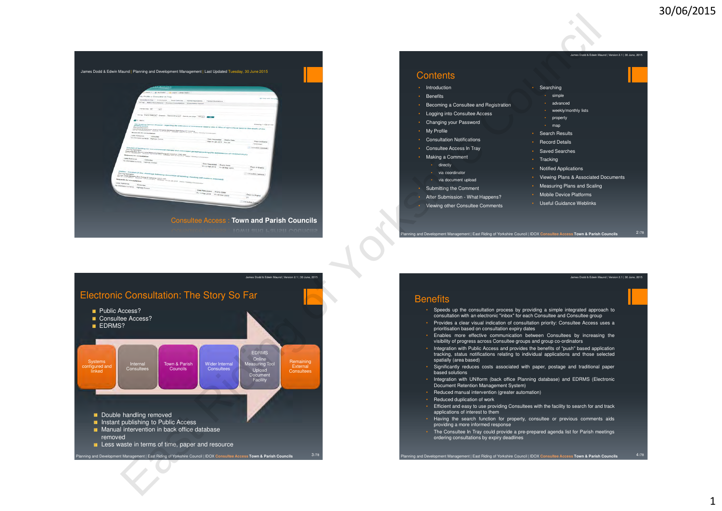1



#### **Contents**

- Introduction
- Benefits
- Becoming <sup>a</sup> Consultee and Registration
- Logging into Consultee Access
- Changing your Password
- My Profile
- Consultation Notifications
- Consultee Access In Tray
- Making <sup>a</sup> Comment
- directly
- via coordinator
- via document upload
- Submitting the Comment
- 
- After Submission What Happens?• Viewing other Consultee Comments

 • simple • advanced• weekly/monthly lists

.<br>James Dodd & Edwin Maund | Version 2.1 | 30 June, 2015

• property• map

• Searching

- 
- Search Results
- Record Details
- Saved Searches
- Tracking
- Notified Applications
- Viewing Plans & Associated Documents
- Measuring Plans and Scaling
- Mobile Device Platforms
- Useful Guidance Weblinks

Planning and Development Management | East Riding of Yorkshire Council | IDOX **Consultee Access Town & Parish Councils** <sup>2</sup> /78

James Dodd & Edwin Maund | Version 2.1 | 30 June, 2015



#### **Benefits**

- Speeds up the consultation process by providing <sup>a</sup> simple integrated approach toconsultation with an electronic "inbox" for each Consultee and Consultee group
- Provides <sup>a</sup> clear visual indication of consultation priority: Consultee Access uses <sup>a</sup>prioritisation based on consultation expiry dates
- Enables more effective communication between Consultees by increasing thevisibility of progress across Consultee groups and group co-ordinators
- Integration with Public Access and provides the benefits of "push" based application tracking, status notifications relating to individual applications and those selectedspatially (area based)
- Significantly reduces costs associated with paper, postage and traditional paper based solutions
- Integration with UNIform (back office Planning database) and EDRMS (Electronic Document Retention Management System)
- Reduced manual intervention (greater automation)
- Reduced duplication of work
- Efficient and easy to use providing Consultees with the facility to search for and trackapplications of interest to them
- Having the search function for property, consultee or previous comments aidsproviding <sup>a</sup> more informed response
- The Consultee In Tray could provide <sup>a</sup> pre-prepared agenda list for Parish meetingsordering consultations by expiry deadlines

Planning and Development Management | East Riding of Yorkshire Council | IDOX **Consultee Access Town & Parish Councils** <sup>4</sup> 4/78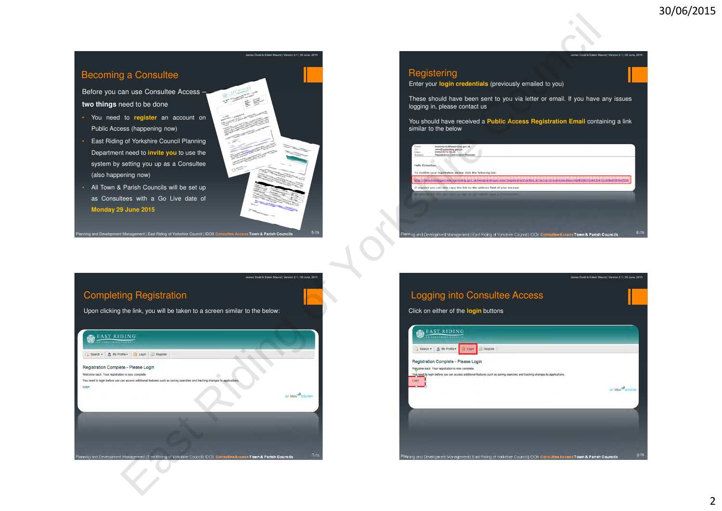ames Dodd & Edwin Maund | Version 2.1 | 30 June, 2015

# Becoming a Consultee

Before you can use Consultee Access –**two things** need to be done

- You need to **register** an account on Public Access (happening now)
- East Riding of Yorkshire Council PlanningDepartment need to **invite you** to use the system by setting you up as <sup>a</sup> Consultee(also happening now)
- All Town & Parish Councils will be set upas Consultees with <sup>a</sup> Go Live date of **Monday 29 June 2015**



James Dodd & Edwin Maund | Version 2.1 | 30 June, 2015

# **Registering**

Enter your **login credentials** (previously emailed to you)

These should have been sent to you via letter or email. If you have any issueslogging in, please contact us

You should have received <sup>a</sup> **Public Access Registration Email** containing <sup>a</sup> link similar to the below

| From:<br>To:<br>Date: | beverley.dc@eastnding.gov.uk<br>user@eastriding.gov.uk<br>03/02/2015 08:49                                                                   |  |
|-----------------------|----------------------------------------------------------------------------------------------------------------------------------------------|--|
| Subject               | <b>Registration Confirmation Request</b>                                                                                                     |  |
| Hello Consultee.      |                                                                                                                                              |  |
|                       | To confirm your registration please click the following link:                                                                                |  |
|                       |                                                                                                                                              |  |
|                       | Mib 7746 nd Marga cerebas Mibri bov utvienotaringa 1881/ng tration artim Arys Itorico abilitarilev Mibri 1884/0101018-10432009 nd Research 1 |  |
|                       | If required you can also copy the link to the address field of your browser.                                                                 |  |
|                       |                                                                                                                                              |  |
|                       |                                                                                                                                              |  |
|                       |                                                                                                                                              |  |
|                       |                                                                                                                                              |  |
|                       |                                                                                                                                              |  |
|                       |                                                                                                                                              |  |
|                       |                                                                                                                                              |  |
|                       | Planning and Development Management   East Riding of Yorkshire Council   IDOX Consultee Access Town & Parish Councils                        |  |

Planning and Development Management | East Riding of Yorkshire Council | IDOX **Consultee Access Town & Parish Councils** <sup>7</sup> /78Completing RegistrationUpon clicking the link, you will be taken to <sup>a</sup> screen similar to the below:

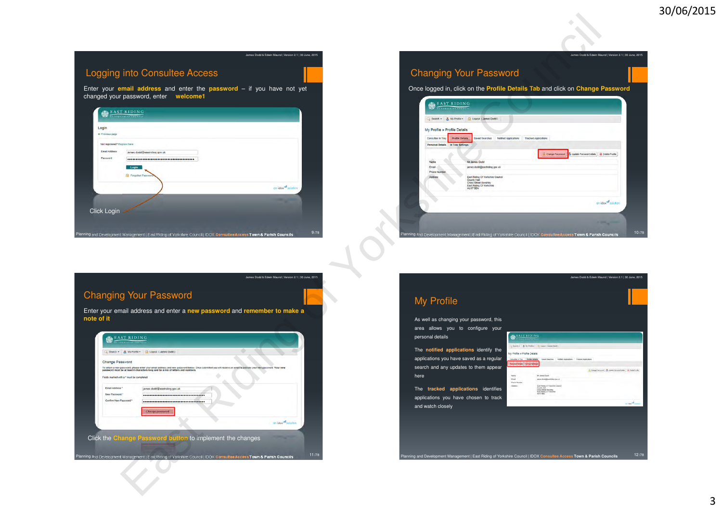James Dodd & Edwin Maund | Version 2.1 | 30 June, 2015

James Dodd & Edwin Maund | Version 2.1 | 30 June, 2015

# East Ridden Access<br>
The Consulte Access<br>
The Council of Your Password<br>
The Council of Your Password<br>
The Council of Your Password<br>
The Council of Section 1998<br>
The Council of Section 1998<br>
The Council of Section 1998<br>
The Logging into Consultee AccessEnter your **email address** and enter the **password** – if you have not yet changed your password, enter **welcome1**Login **Continue name Email Address Phresioned** Click Login  $9/78$ Planning and Development Management | East Riding of Yorkshire Council | IDOX **Consultee Access Town & Parish Councils** <sup>9</sup>

# Changing Your Password

Once logged in, click on the **Profile Details Tab** and click on **Change Password**

| My Profile » Profile Details |                                                                                                                                |
|------------------------------|--------------------------------------------------------------------------------------------------------------------------------|
| Consultee In Tray            | <b>Profile Details</b><br>Saved Searches<br><b>Notified Applications</b><br><b>Tracked Applications</b>                        |
| <b>Personal Details</b>      | In Tray Settings                                                                                                               |
|                              | Update Personal Details<br>Delete Profile<br>Change Password                                                                   |
| Name                         | Mr James Dodd                                                                                                                  |
| Email                        | james.dodd@eastriding.gov.uk                                                                                                   |
| <b>Phone Number</b>          |                                                                                                                                |
| Address                      | East Riding Of Yorkshire Council<br>County Hall<br><b>Cross Street Beverley</b><br>East Riding Of Yorkshire<br><b>HU17 9BA</b> |
|                              | an idex <sup>32</sup> solution                                                                                                 |

James Dodd & Edwin Maund | Version 2.1 | 30 June, 2015

/78

James Dodd & Edwin Maund | Version 2.1 | 30 June, 2015

# Changing Your Password

Enter your email address and enter a **new password** and **remember to make a note of it**

| $Q$ Search $\sim$                         | A My Profile - Logout (James Dodd)                                                                                                                                                                                                                     |                  |
|-------------------------------------------|--------------------------------------------------------------------------------------------------------------------------------------------------------------------------------------------------------------------------------------------------------|------------------|
| <b>Change Password</b>                    |                                                                                                                                                                                                                                                        |                  |
|                                           | To obtain a new password, please enter your email address and new password below. Once submitted you will receive an email to activate your new password. Your new<br>password must be at least 8 characters long and be a mix of letters and numbers. |                  |
| Fields marked with a " must be completed. |                                                                                                                                                                                                                                                        |                  |
|                                           |                                                                                                                                                                                                                                                        |                  |
| Email Address *                           | james.dodd@eastriding.gov.uk                                                                                                                                                                                                                           |                  |
| New Password *<br>Confirm New Password *  |                                                                                                                                                                                                                                                        |                  |
|                                           |                                                                                                                                                                                                                                                        |                  |
|                                           | Change password                                                                                                                                                                                                                                        |                  |
|                                           |                                                                                                                                                                                                                                                        |                  |
|                                           |                                                                                                                                                                                                                                                        | an idax solution |
|                                           |                                                                                                                                                                                                                                                        |                  |
|                                           | Click the Change Password button to implement the changes                                                                                                                                                                                              |                  |

# My ProfileAs well as changing your password, thisarea allows you to configure yourpersonal detailsThe **notified applications** identify the applications you have saved as <sup>a</sup> regularsearch and any updates to them appear

The **tracked applications** identifies applications you have chosen to trackand watch closely

here

| <b>EAST RIDING</b>                   |                                                                                                            |                                           |
|--------------------------------------|------------------------------------------------------------------------------------------------------------|-------------------------------------------|
| is because and doctor                |                                                                                                            |                                           |
|                                      | Search = A My Franke - C Logan (James Dodd)                                                                |                                           |
| My Profile » Profile Details         |                                                                                                            |                                           |
| Consultive In Your<br><b>Barbara</b> | Swet Searche   Nother Application   Tracead Application<br><b>Fredin Details</b><br>232222                 |                                           |
|                                      |                                                                                                            | Compilazioni di compilazione di Gometoria |
|                                      | Mr James Doot                                                                                              |                                           |
|                                      |                                                                                                            |                                           |
| Tehn<br>Einel                        | he and probably and sen-                                                                                   |                                           |
| <b>Plaza Muselia</b>                 |                                                                                                            |                                           |
| Address                              | East Hitting Of Yorkshire Council<br>County mail<br>Cross Street Revenue<br>East Riding Of Harkshee<br>--- |                                           |

Planning and Development Management | East Riding of Yorkshire Council | IDOX **Consultee Access Town & Parish Councils**s 12/78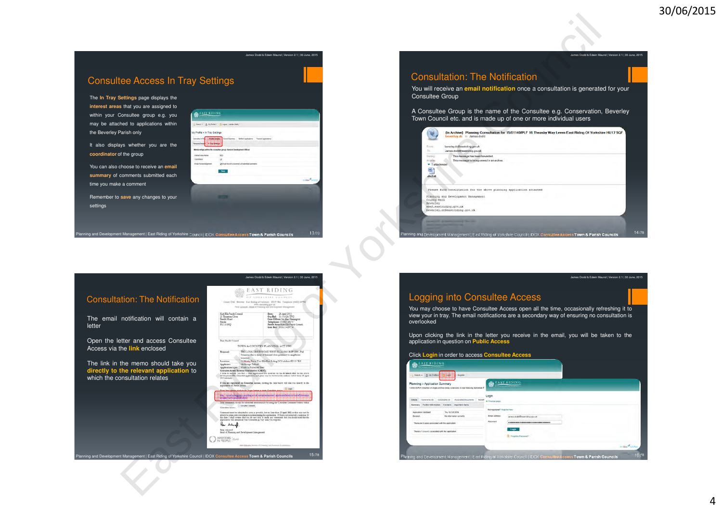# Consultee Access In Tray Settings

The **In Tray Settings** page displays the **interest areas** that you are assigned to within your Consultee group e.g. you may be attached to applications withinthe Beverley Parish only

It also displays whether you are the**coordinator** of the group

You can also choose to receive an **email summary** of comments submitted each time you make <sup>a</sup> comment

Remember to **save** any changes to your settings



#### Consultation: The Notification

|                                                                                                                                                                                                                                                                                                                                                                                      | James Dodd & Edwin Maund   Version 2.1   30 June, 2015                                                                                                                                                                                                                                                                                                                                                                                                                       | James Dodd & Edwin Maund   Version 2.1   30 June, 2015                                                                                                                                                                                                                                                                                                                                         |
|--------------------------------------------------------------------------------------------------------------------------------------------------------------------------------------------------------------------------------------------------------------------------------------------------------------------------------------------------------------------------------------|------------------------------------------------------------------------------------------------------------------------------------------------------------------------------------------------------------------------------------------------------------------------------------------------------------------------------------------------------------------------------------------------------------------------------------------------------------------------------|------------------------------------------------------------------------------------------------------------------------------------------------------------------------------------------------------------------------------------------------------------------------------------------------------------------------------------------------------------------------------------------------|
| tee Access In Tray Settings<br>Settings page displays the                                                                                                                                                                                                                                                                                                                            |                                                                                                                                                                                                                                                                                                                                                                                                                                                                              | <b>Consultation: The Notification</b><br>You will receive an email notification once a consultation is generated for your<br><b>Consultee Group</b>                                                                                                                                                                                                                                            |
| s that you are assigned to<br><b>EAST RIDING</b><br>Consultee group e.g. you<br>hed to applications within<br>Search - & My Frette - 2 Logod (James Dood                                                                                                                                                                                                                             |                                                                                                                                                                                                                                                                                                                                                                                                                                                                              | A Consultee Group is the name of the Consultee e.g. Conservation, Beverley<br>Town Council etc. and is made up of one or more individual users                                                                                                                                                                                                                                                 |
| Parish only<br>My Profile » In Tray Settings<br>Notified Anglessions<br>1301009100000<br>tys whether you are the<br>Memberships within the consultee group: Service Development Offices<br>of the group<br>spo<br>Interest Area Name<br>Coordinator<br>Difficult me with a summary of submitted com-<br>choose to receive an email<br>Save<br>comments submitted each<br>e a comment | in Idea <sup>nd</sup>                                                                                                                                                                                                                                                                                                                                                                                                                                                        | {In Archive} Planning Consultation for 15/01140/PLF 16 Theasby Way Leven East Riding Of Yorkshire HU17 5QF<br>beverley.dc to: James.dodd<br>beverley.do@eastriding.gov.uk<br>From:<br>To:<br>James dodd@eastriding.gov.uk<br>History<br>This message has been forwarded<br>This message is being viewed in an archive.<br>Archive<br>$\blacktriangleright$ 1 attachment<br>四<br>$\n  dm3rtt\n$ |
| save any changes to your<br>It Management   East Riding of Yorkshire Council   IDOX Consultee Access Town & Parish Councils                                                                                                                                                                                                                                                          | 13/78                                                                                                                                                                                                                                                                                                                                                                                                                                                                        | Please find consultation for the above planning application attached<br>Planning and Development Management<br>County Hall<br>Beverley<br>www2.eastriding.gov.uk<br>beverley.dc@eastriding.gov.uk<br>14/78<br>Planning and Development Management   East Riding of Yorkshire Council   IDOX Consultee Access Town & Parish Councils                                                            |
|                                                                                                                                                                                                                                                                                                                                                                                      | James Dodd & Edwin Maund   Version 2.1   30 June, 2015                                                                                                                                                                                                                                                                                                                                                                                                                       | James Dodd & Edwin Maund   Version 2.1   30 June, 2015                                                                                                                                                                                                                                                                                                                                         |
| ttion: The Notification<br>www.aasthing.gov.uk<br>Prov.jalanif: Hand of Phenony and Develop                                                                                                                                                                                                                                                                                          | EAST RIDING<br><b>CETSIANNIAE ENUNCIE</b><br>Guare Hall, Senator, Karl Kaling of Venicesco, HATP Hit, Tanginoni (1982) E                                                                                                                                                                                                                                                                                                                                                     | <b>Logging into Consultee Access</b>                                                                                                                                                                                                                                                                                                                                                           |
| Kidt Ella Pasch Coustal<br>21 Thouston Close<br>Family Road<br>notification will contain a<br>HU13-0HQ                                                                                                                                                                                                                                                                               | $\begin{tabular}{l c c} \textbf{Dense} & 28.\textbf{Agail 2015} \\ \textbf{Oua Rab} & 13.01026.\textbf{TPO} \\ \textbf{Cas} & \textbf{Office} & \textbf{Mha} & \textbf{Mmaqvar} \\ \textbf{Tapheoen} & 31.632.\textbf{F} & \textbf{Shu Thaola} \\ \textbf{Tashha Area Koli:} & 520113.\textbf{G} & \textbf{Stu Thaola} \\ \textbf{Godi:} & 520113.\textbf{G} & 377.1 \\ \end{tabular}$                                                                                       | You may choose to have Consultee Access open all the time, occasionally refreshing it to<br>view your in tray. The email notifications are a secondary way of ensuring no consultation is<br>overlooked                                                                                                                                                                                        |
| etter and access Consultee<br>Dear Pasisk Council<br>the link enclosed<br>boardari.                                                                                                                                                                                                                                                                                                  | TOWN & COUNTRY PLANNING ACT 1990<br>TPO LONG DRIVE WOOD WEST ELLA 1980 (KEP, 209) - Fall<br>Syramon due to detay at how and three pottomity to neighborous                                                                                                                                                                                                                                                                                                                   | Upon clicking the link in the letter you receive in the email, you will be taken to the<br>application in question on Public Access<br>Click Login in order to access Consultee Access                                                                                                                                                                                                         |
| Location<br>the memo should take you<br>Applicants Mr George Talfoul<br>the relevant application to<br>onsultation relates                                                                                                                                                                                                                                                           | 51 Elmin; Dave Test Elia East Riding Of Yorkshire HU10 "RX<br>Consules Acress External Canadarion (CAESC).<br>3 runs to inform you that a risk applicated was neared on the 31 March 2012 for the above<br>development The referented application and plans can be veryed at the address below fro<br>If you are regulated on Conrultor Access, clutting the look below vill take you directly to the<br>$\equiv$ GeV<br>that on the Loam button to every Counting Acces     | <b>EAST RIDING</b><br>3 Search - 8 My Profile - 1222 1996<br><b>EAST RIDING</b><br>Planning » Application Summary<br>4/03336/PLF   Erection of single and two storey extensions to rear following de                                                                                                                                                                                           |
| Constitut Arom. Constitution                                                                                                                                                                                                                                                                                                                                                         | <u> Kabupatén Bangung Padungan Ing Pa</u><br>You comment, should be rebeared electronically by using the Consulese Comment' button visitin<br>ational be admitted as soon as possible, but no later than 22 April 2013, or they may not be<br>able to be taken into consideration in determining this application. If I have not returned a response by this return on the street of the main any constant box plus that the application will seem that the application will | Login<br>Comments (8) Constraints (6) Associated Documents   Related & Previous page<br>Summary Further Information Contacts Important Dates<br>Not registered? Register hors-<br>Thu 16 Oct 2014<br>Application Validated<br>Email Address james dodd@eastrding.gov.uk<br>Decision<br>No information currently<br>Password                                                                    |
| Pour Ashings.<br>From Autoroft<br>Head of Rimming and Dersingment Liansgement<br>O INVESTORS Gold                                                                                                                                                                                                                                                                                    | Also Maure, Denny & Harris 44 Konnel & specific                                                                                                                                                                                                                                                                                                                                                                                                                              | <br>There are 0 cases associated with this application.<br>Login<br>There is 1 property associated with this application.<br>C Forgotten Password?<br>on Idox <sup>42</sup> soluto                                                                                                                                                                                                             |
| It Management   East Riding of Yorkshire Council   IDOX Consultee Access Town & Parish Councils                                                                                                                                                                                                                                                                                      | 15/78                                                                                                                                                                                                                                                                                                                                                                                                                                                                        | 16/78<br>Planning and Development Management   East Riding of Yorkshire Council   IDOX Consultive Access Town & Parish Councils                                                                                                                                                                                                                                                                |
|                                                                                                                                                                                                                                                                                                                                                                                      |                                                                                                                                                                                                                                                                                                                                                                                                                                                                              |                                                                                                                                                                                                                                                                                                                                                                                                |

# Consultation: The NotificationThe email notification will contain <sup>a</sup>letter

Planning and Development Management | East Riding of Yorkshire Council | IDOX **Consultee Access Town & Parish Councils** <sup>13</sup>

Open the letter and access ConsulteeAccess via the **link** enclosed

The link in the memo should take you**directly to the relevant application** to which the consultation relates



## Logging into Consultee Access

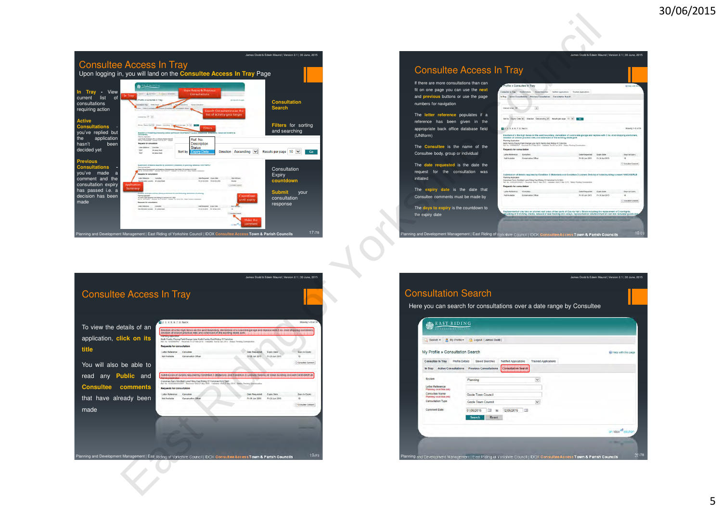|                                                                                                                       |                                                                                                                                                                                                                                                                                                                                                                                                          |                                                                                                                                     |                                     | James Dodd & Edwin Maund   Version 2.1   30 June, 2015              |
|-----------------------------------------------------------------------------------------------------------------------|----------------------------------------------------------------------------------------------------------------------------------------------------------------------------------------------------------------------------------------------------------------------------------------------------------------------------------------------------------------------------------------------------------|-------------------------------------------------------------------------------------------------------------------------------------|-------------------------------------|---------------------------------------------------------------------|
| <b>Consultee Access In Tray</b><br>Upon logging in, you will land on the <b>Consultee Access In Tray</b> Page         |                                                                                                                                                                                                                                                                                                                                                                                                          |                                                                                                                                     |                                     |                                                                     |
| View<br>Trav<br>ln.<br>н<br>In Tray<br>list<br>of<br>current<br>consultations<br>requiring action                     | <b>LAST REBENG</b><br>Search - A an Police - In council detections<br>Profile x Consultae In Tray<br>company that I do not have<br>Artist County<br>resulting AL W.                                                                                                                                                                                                                                      | <b>View Actrue &amp; Presions</b><br>Consultations<br>Search Consultations as the<br>list of activity gets longer                   | All home with this is a             | <b>Consultation</b><br><b>Search</b>                                |
| <b>Active</b><br><b>Consultations</b><br>you've replied but<br>application<br>the<br>hasn't<br>been<br>decided yet    | Sirts EarnTen's! Income Assump in<br><b>ARTISTICS CONTRACTOR</b><br><b>ENGINEE OF TH KINSTONS</b><br>(answered)<br><b>Florida Northern</b><br>and from of threes in Ly & Proces School Service<br><b>Requests for comunication</b><br>Labor Salesman<br><b>Caroline</b><br><b>TEN</b><br><b>The American Street</b><br>text<br>the James Studen                                                          | <b>Filters</b><br><b>SHEETENS</b> Good and \$110 to be<br>Ref. No.<br>Description<br><b>Status</b><br>Sort by<br><b>Expiry Date</b> | Direction Ascending<br>$\checkmark$ | Filters for sorting<br>and searching<br>Results per page 10 V<br>Go |
| <b>Previous</b><br><b>Consultations</b><br>you've<br>made<br>a<br>comment and the<br>consultation expiry              | Supervisors of Gallery resulted by considered incomedants of processes reflectives (AACTSATE)<br><b>Flamming Association</b><br>If Land Healthing Martinization East Paing CP London 1023, 235<br><b>Facts House Council</b><br>thing the fifther strip company the Orlean story. There<br><b>Requests for exceptionize</b><br>No Marketin covered at areas Date<br><b>Application</b>                   | Sale-Resourced: Josen Date:<br>the to the time to be the time<br>Eures                                                              | David Modern<br>sales Comput        | Consultation<br>Expiry<br>countdown                                 |
| has passed i.e. a<br>decision has been<br>made                                                                        | Summary<br>Earthly of price and the dome achieved in mar trobatte deman<br><b>Farmer Associate</b><br>\$3.00 keep Gardy Streeting Cast Roley Of Francisco ADTO Mar.<br>And his Cast Control and State of the U.S. Control of Controller Controllers, March Street Controllers, Street<br><b>Remarch for unimalization</b><br>Latin Salesman<br>Consider<br>the minimization burbanity. His parent Darlin | <b>Date Presenting</b> Eastly Color<br><b>GLO-DEZEN EN GENAZION</b>                                                                 | Countdown<br>until expiry           | <b>Submit</b><br>vour<br>consultation<br>response                   |
| Planning and Development Management   East Riding of Yorkshire Council   IDOX Consultee Access Town & Parish Councils |                                                                                                                                                                                                                                                                                                                                                                                                          |                                                                                                                                     | Malon that<br>comment.              | 17/78                                                               |





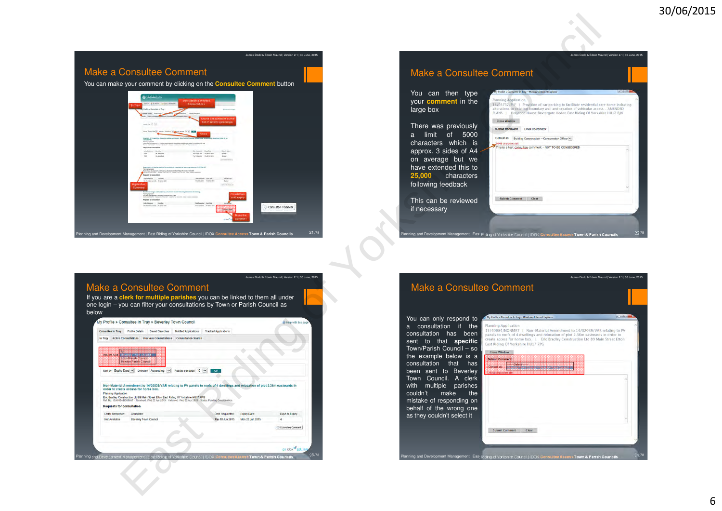

| <b>Make a Consultee Comment</b>                                                                                                                                                         | James Dodd & Edwin Maund   Version 2.1   30 Ju                                                                                                                                                                                                                                                                                                      |
|-----------------------------------------------------------------------------------------------------------------------------------------------------------------------------------------|-----------------------------------------------------------------------------------------------------------------------------------------------------------------------------------------------------------------------------------------------------------------------------------------------------------------------------------------------------|
| You can then type<br>your comment in the<br>large box                                                                                                                                   | My Profile » Consultee In Tray - Windows Internet Explorer<br><b>Planning Application</b><br>14/03732/PLF   Provision of car parking to facilitate residential care home including<br>alterations to existing boundary wall and creation of vehicular access - AMENDED<br>PLANS   Holyrood House Baxtergate Hedon East Riding Of Yorkshire HU12 8IN |
| There was previously<br>limit of 5000<br>$a -$<br>characters which is<br>approx. 3 sides of A4<br>on average but we<br>have extended this to<br>25,000 characters<br>following feedback | <b>Close Window</b><br><b>Submit Comment</b><br><b>Email Coordinator</b><br>Consult as:<br>Building Conservation -- Conservation Officer V<br>4945 characters left<br>This is a test consultee comment - NOT TO BE CONSIDERED                                                                                                                       |
| This can be reviewed<br>if necessary                                                                                                                                                    | <b>Submit Comment</b><br>Clear                                                                                                                                                                                                                                                                                                                      |

# Make a Consultee Comment

 If you are a **clerk for multiple parishes** you can be linked to them all under one login – you can filter your consultations by Town or Parish Council as below

James Dodd & Edwin Maund | Version 2.1 | 30 June, 2015

| <b>Consultee In Tray</b>                | <b>Profile Details</b>                                | <b>Saved Searches</b>         | <b>Notified Applications</b>                                                                                                                                                                        | <b>Tracked Applications</b>                                                                                                    |                 |                   |
|-----------------------------------------|-------------------------------------------------------|-------------------------------|-----------------------------------------------------------------------------------------------------------------------------------------------------------------------------------------------------|--------------------------------------------------------------------------------------------------------------------------------|-----------------|-------------------|
| <b>Active Consultations</b><br>In Trav  |                                                       | <b>Previous Consultations</b> | <b>Consultation Search</b>                                                                                                                                                                          |                                                                                                                                |                 |                   |
|                                         |                                                       |                               |                                                                                                                                                                                                     |                                                                                                                                |                 |                   |
| Interest Aneal Million Constitution and |                                                       |                               |                                                                                                                                                                                                     |                                                                                                                                |                 |                   |
|                                         | <b>Etion Panso Council</b><br><b>BARKA PANK CHANI</b> |                               |                                                                                                                                                                                                     |                                                                                                                                |                 |                   |
| Sort by Expiry Date V                   |                                                       | Direction Ascending V         | Results per page 10 V                                                                                                                                                                               | Go                                                                                                                             |                 |                   |
|                                         |                                                       |                               |                                                                                                                                                                                                     |                                                                                                                                |                 |                   |
|                                         |                                                       |                               |                                                                                                                                                                                                     |                                                                                                                                |                 |                   |
|                                         |                                                       |                               |                                                                                                                                                                                                     |                                                                                                                                |                 |                   |
|                                         |                                                       |                               |                                                                                                                                                                                                     | Non-Material Amendment to 14/02039/VAR relating to PV panels to roofs of 4 dwellings and relocation of plot 2.36m eastwards in |                 |                   |
| order to create access for horse box.   |                                                       |                               |                                                                                                                                                                                                     |                                                                                                                                |                 |                   |
| <b>Planning Application</b>             |                                                       |                               |                                                                                                                                                                                                     |                                                                                                                                |                 |                   |
|                                         |                                                       |                               | Eric Bradley Construction Ltd 89 Main Street Etton East Riding Of Yorkshire HU17 7PG<br>Ref. No. 15/40084/NONMAT Received: Wed 22 Apr 2015 Validated: Wed 22 Apr 2015 Status: Pending Consideration |                                                                                                                                |                 |                   |
| <b>Requests for consultation</b>        |                                                       |                               |                                                                                                                                                                                                     |                                                                                                                                |                 |                   |
| Letter Reference:                       | Consultee:                                            |                               |                                                                                                                                                                                                     | Date Requested:                                                                                                                | Expiry Date:    | Days to Expiry:   |
| Not Available                           | <b>Beverley Town Council</b>                          |                               |                                                                                                                                                                                                     | Thu 18 Jun 2015                                                                                                                | Mon 22 Jun 2015 | $\overline{4}$    |
|                                         |                                                       |                               |                                                                                                                                                                                                     |                                                                                                                                |                 | Consultee Comment |
|                                         |                                                       |                               |                                                                                                                                                                                                     |                                                                                                                                |                 |                   |
|                                         |                                                       |                               |                                                                                                                                                                                                     |                                                                                                                                |                 |                   |
|                                         |                                                       |                               |                                                                                                                                                                                                     |                                                                                                                                |                 |                   |



ent | East Riding of Yorkshire Council | IDOX Consultee Access Town & Parish Councils

 $\mathsf{s}$  22

/78

James Dodd & Edwin Maund | Version 2.1 | 30 June, 2015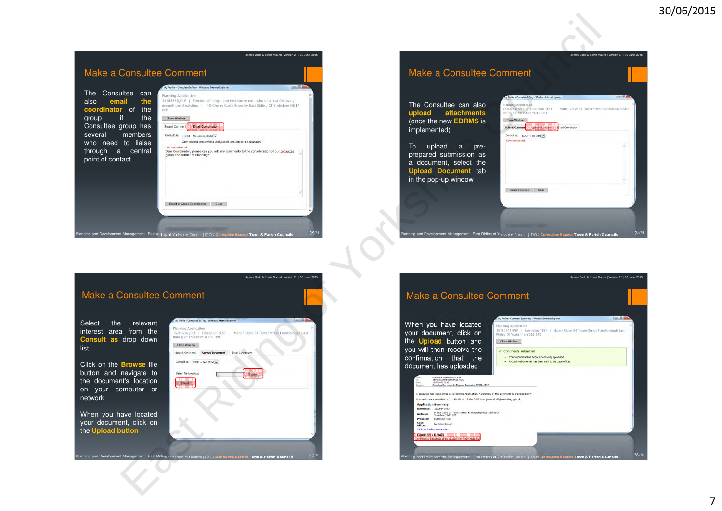

# Make a Consulte

The Consultee can als **upload attachment** (once the new **EDRMS** is implemented)

To upload <sup>a</sup> preprepared submission a a document, select th **Upload Document** tabin the pop-up window

nning and Development Manag

| <b>Planning Application</b><br>15/00241/PLE   Extension TEST   Manor Close 34 Tower Street Flamborough East<br>Riding Of Yorkshire YO15 1PD |  |
|---------------------------------------------------------------------------------------------------------------------------------------------|--|
|                                                                                                                                             |  |
| <b>Close Window</b><br><b>Dpoad Cocurrent</b><br><b>Submit Comment</b><br>mail Coordinator                                                  |  |
| Consult as:<br>SDO -- Test Ddfd V                                                                                                           |  |
| 5000 characters left                                                                                                                        |  |
|                                                                                                                                             |  |
|                                                                                                                                             |  |
|                                                                                                                                             |  |
|                                                                                                                                             |  |
|                                                                                                                                             |  |
| <b>Submit Comment</b><br>Clear                                                                                                              |  |
|                                                                                                                                             |  |
|                                                                                                                                             |  |
|                                                                                                                                             |  |

James Dodd & Edwin Maund | Version 2.1 | 30 June, 2015

James Dodd & Edwin Maund | Version 2.1 | 30 June, 2015

# Make a Consultee Comment

Select the relevant interest area from the **Consult as** drop down list

Click on the **Browse** file button and navigate to the document's location on your computer ornetwork

When you have located your document, click onthe **Upload button**



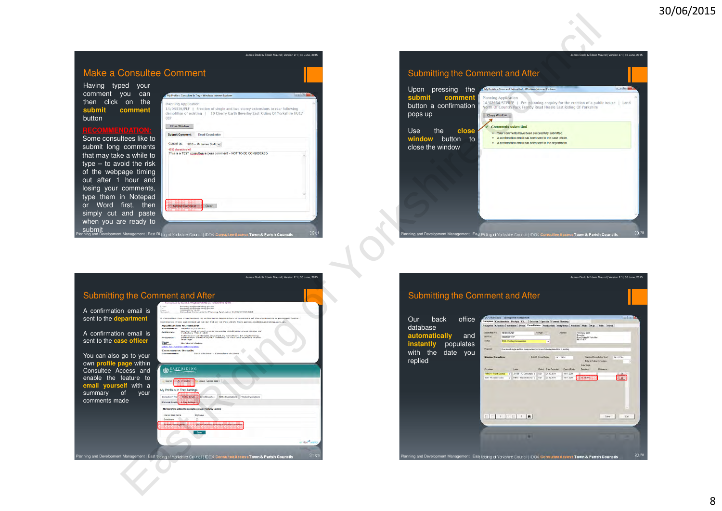





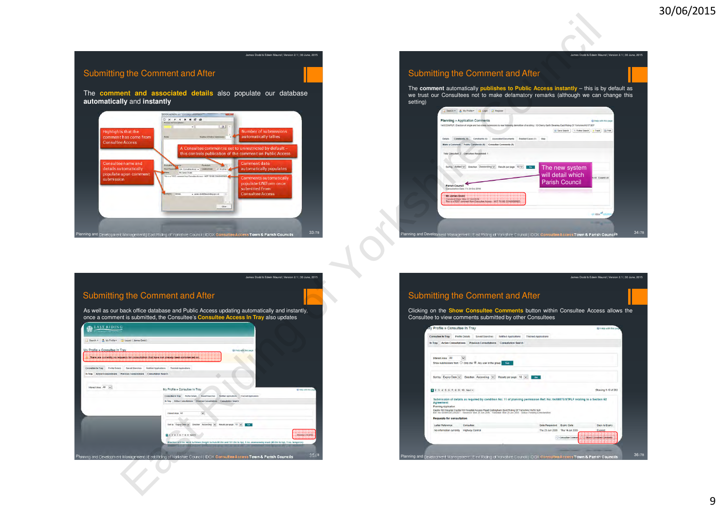James Dodd & Edwin Maund | Version 2.1 | 30 June, 2015

# Submitting the Comment and After

The **comment and associated details** also populate our database **automatically** and **instantly**

James Dodd & Edwin Maund | Version 2.1 | 30 June, 2015



# Submitting the Comment and After

The **comment** automatically **publishes to Public Access instantly** – this is by default as we trust our Consultees not to make defamatory remarks (although we can change this setting)





# James Dodd & Edwin Maund | Version 2.1 | 30 June, 2015Submitting the Comment and AfterClicking on the **Show Consultee Comments** button within Consultee Access allows the Consultee to view comments submitted by other Consultees

Planning and Development Management | East Riding of Yorkshire Council | IDOX **Consultee Access Town & Parish Councils**

<sup>36</sup> /78